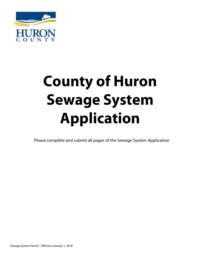

# **County of Huron Sewage System Application**

Please complete and submit all pages of the Sewage System Application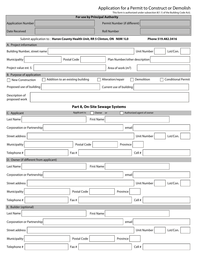## Application for a Permit to Construct or Demolish

This form is authorized under subsection 8(1.1) of the Building Code Act).

| <b>For use by Principal Authority</b>                                     |               |                                |                                         |  |
|---------------------------------------------------------------------------|---------------|--------------------------------|-----------------------------------------|--|
| <b>Application Number</b>                                                 |               | Permit Number (if different)   |                                         |  |
| <b>Date Received</b>                                                      |               | <b>Roll Number</b>             |                                         |  |
| Submit application to: Huron County Health Unit, RR 5 Clinton, ON NOM 1LO |               |                                | Phone 519.482.3416                      |  |
| A. Project information                                                    |               |                                |                                         |  |
| Building Number, street name                                              |               |                                | <b>Unit Number</b><br>Lot/Con.          |  |
| Municipality                                                              | Postal Code   | Plan Number/other description  |                                         |  |
| Project value est. \$                                                     |               | Area of work $(m2)$            |                                         |  |
| B. Purpose of application                                                 |               |                                |                                         |  |
| Addition to an existing building<br><b>New Construction</b>               |               | Alteration/repair              | Demolition<br><b>Conditional Permit</b> |  |
| Proposed use of building                                                  |               | Current use of building        |                                         |  |
| Description of<br>proposed work                                           |               |                                |                                         |  |
|                                                                           |               | Part 8, On-Site Sewage Systems |                                         |  |
| C. Applicant                                                              | Applicant is: | Owner or                       | Authorized agent of owner               |  |
| Last Name                                                                 |               | <b>First Name</b>              |                                         |  |
| Corporation or Partnership                                                |               | email                          |                                         |  |
| Street address                                                            |               |                                | Lot/Con.<br>Unit Number                 |  |
| Municipality                                                              | Postal Code   | Province                       |                                         |  |
| Telephone #                                                               | Fax #         |                                | Cell #                                  |  |
| D. Owner (if different from applicant)                                    |               |                                |                                         |  |
| Last Name                                                                 |               | <b>First Name</b>              |                                         |  |
| Corporation or Partnership                                                |               | email                          |                                         |  |
| Street address                                                            |               |                                | Unit Number<br>Lot/Con.                 |  |
| Municipality                                                              | Postal Code   | Province                       |                                         |  |
| Telephone #                                                               | Fax #         |                                | Cell #                                  |  |
| E. Builder (optional)                                                     |               |                                |                                         |  |
| Last Name                                                                 |               | <b>First Name</b>              |                                         |  |
| Corporation or Partnership                                                |               | email                          |                                         |  |
| Street address                                                            |               |                                | Lot/Con.<br>Unit Number                 |  |
| Municipality                                                              | Postal Code   | Province                       |                                         |  |
| Telephone #                                                               | Fax #         |                                | Cell #                                  |  |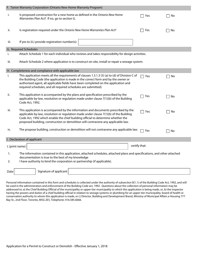|      | F. Tarion Warranty Corporation (Ontario New Home Warranty Program)                                                                                                                                                                                                                                                                                                                 |               |    |  |  |
|------|------------------------------------------------------------------------------------------------------------------------------------------------------------------------------------------------------------------------------------------------------------------------------------------------------------------------------------------------------------------------------------|---------------|----|--|--|
| i.   | Is proposed construction for a new home as defined in the Ontario New Home<br>Warranties Plan Act? If no, go to section G.                                                                                                                                                                                                                                                         | Yes           | No |  |  |
| ii.  | Is registration required under the Ontario New Home Warranties Plan Act?                                                                                                                                                                                                                                                                                                           | Yes           | No |  |  |
| iii. | If yes to (ii.) provide registration number(s):                                                                                                                                                                                                                                                                                                                                    |               |    |  |  |
|      | G. Required Schedules                                                                                                                                                                                                                                                                                                                                                              |               |    |  |  |
| i.   | Attach Schedule 1 for each individual who reviews and takes responsibility for design activities.                                                                                                                                                                                                                                                                                  |               |    |  |  |
| iii. | Attach Schedule 2 where application is to construct on-site, install or repair a sewage system.                                                                                                                                                                                                                                                                                    |               |    |  |  |
|      | H. Completeness and compliance with applicable law                                                                                                                                                                                                                                                                                                                                 |               |    |  |  |
| i.   | This application meets all the requirements of clauses 1.3.1.3 (5) (a) to (d) of Division C of<br>Yes<br>No<br>the Building Code (the application is made in the correct form and by the owner or<br>authorized agent, all applicable fields have been completed on the application and<br>required schedules, and all required schedules are submitted).                          |               |    |  |  |
| ii.  | This application is accompanied by the plans and specification prescribed by the<br>applicable by-law, resolution or regulation made under clause 7(1)(b) of the Building<br>Code Act, 1992.                                                                                                                                                                                       | Yes           | No |  |  |
| iii. | This application is accompanied by the information and documents prescribed by the<br>$\sqsupset$ Yes<br>No<br>H<br>applicable by-law, resolution or regulation made under clause 7(1)(b) of the Building<br>Code Act, 1992 which enable the chief building official to determine whether the<br>proposed building, construction or demolition will contravene any applicable law. |               |    |  |  |
| iv.  | The propose building, construction or demolition will not contravene any applicable law.                                                                                                                                                                                                                                                                                           | Yes           | No |  |  |
|      | I. Declaration of applicant                                                                                                                                                                                                                                                                                                                                                        |               |    |  |  |
|      | I, (print name)                                                                                                                                                                                                                                                                                                                                                                    | certify that: |    |  |  |
| 1.   | The information contained in this application, attached schedules, attached plans and specifications, and other attached                                                                                                                                                                                                                                                           |               |    |  |  |
| 2.   | documentation is true to the best of my knowledge<br>I have authority to bind the corporation or partnership (if applicable).                                                                                                                                                                                                                                                      |               |    |  |  |
| Date | Signature of applicant                                                                                                                                                                                                                                                                                                                                                             |               |    |  |  |

Personal information contained in this form and schedules is collected under the authority of subsection 8(1.1) of the Building Code Act, 1992, and will be used in the administration and enforcement of the Building Code act, 1992. Questions about the collection of personal information may be addressed to: a) the Chief Building Official of the municipality or upper-tier municipality to which this application is being made, or, b) the inspector having the powers and duties of a chief building official in relation to sewage systems or plumbing for an upper-tier municipality, board of health or conservation authority to whom this application is made, or c) Director, Building and Development Brand, Ministry of Municipal Affairs a Housing 777 Bay St., 2nd Floor, Toronto, M5G 2E5, Telephone: 416.585.6666.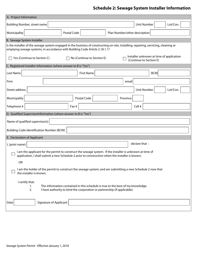# **Schedule 2: Sewage System Installer Information**

| <b>Unit Number</b><br>Lot/Con.<br>Postal Code<br>Plan Number/other description<br>Installer unknown at time of application<br>Yes (Continue to Section C)<br>No (Continue to Section E)<br>(Continue to Section E)<br><b>BCIN</b><br><b>First Name</b><br>email<br><b>Unit Number</b><br>Lot/Con.<br>Postal Code<br>Province<br>Cell #<br>Fax #<br>Name of qualified supervisor(s)<br><b>Building Code Identification Number (BCIN)</b><br>declare that :<br>I, (print name)<br>I am the applicant for the permit to construct the sewage system. If the installer is unknown at time of<br>application, I shall submit a new Schedule 2 prior to construction when the installer is known;<br>OR<br>I am the holder of the permit to construct the sewage system, and am submitting a new Schedule 2 now that<br>the installer is known.<br>I certify that:<br>The information contained in this schedule is true to the best of my knowledge.<br>1.<br>2.<br>I have authority to bind the corporation or partnership (if applicable).<br><b>Signature of Applicant</b> | A. Project Information                                                                                                               |  |  |  |  |
|--------------------------------------------------------------------------------------------------------------------------------------------------------------------------------------------------------------------------------------------------------------------------------------------------------------------------------------------------------------------------------------------------------------------------------------------------------------------------------------------------------------------------------------------------------------------------------------------------------------------------------------------------------------------------------------------------------------------------------------------------------------------------------------------------------------------------------------------------------------------------------------------------------------------------------------------------------------------------------------------------------------------------------------------------------------------------|--------------------------------------------------------------------------------------------------------------------------------------|--|--|--|--|
|                                                                                                                                                                                                                                                                                                                                                                                                                                                                                                                                                                                                                                                                                                                                                                                                                                                                                                                                                                                                                                                                          | Building Number, street name                                                                                                         |  |  |  |  |
|                                                                                                                                                                                                                                                                                                                                                                                                                                                                                                                                                                                                                                                                                                                                                                                                                                                                                                                                                                                                                                                                          | Municipality                                                                                                                         |  |  |  |  |
|                                                                                                                                                                                                                                                                                                                                                                                                                                                                                                                                                                                                                                                                                                                                                                                                                                                                                                                                                                                                                                                                          | B. Sewage System Installer                                                                                                           |  |  |  |  |
|                                                                                                                                                                                                                                                                                                                                                                                                                                                                                                                                                                                                                                                                                                                                                                                                                                                                                                                                                                                                                                                                          | Is the installer of the sewage system engaged in the business of constructing on-site, installing, repairing, servicing, cleaning or |  |  |  |  |
|                                                                                                                                                                                                                                                                                                                                                                                                                                                                                                                                                                                                                                                                                                                                                                                                                                                                                                                                                                                                                                                                          | emptying sewage systems, in accordance with Building Code Article 2.18.1.1?                                                          |  |  |  |  |
|                                                                                                                                                                                                                                                                                                                                                                                                                                                                                                                                                                                                                                                                                                                                                                                                                                                                                                                                                                                                                                                                          |                                                                                                                                      |  |  |  |  |
|                                                                                                                                                                                                                                                                                                                                                                                                                                                                                                                                                                                                                                                                                                                                                                                                                                                                                                                                                                                                                                                                          | C. Registered Installer Information (where answer to B is "Yes")                                                                     |  |  |  |  |
|                                                                                                                                                                                                                                                                                                                                                                                                                                                                                                                                                                                                                                                                                                                                                                                                                                                                                                                                                                                                                                                                          | Last Name                                                                                                                            |  |  |  |  |
|                                                                                                                                                                                                                                                                                                                                                                                                                                                                                                                                                                                                                                                                                                                                                                                                                                                                                                                                                                                                                                                                          | Firm                                                                                                                                 |  |  |  |  |
|                                                                                                                                                                                                                                                                                                                                                                                                                                                                                                                                                                                                                                                                                                                                                                                                                                                                                                                                                                                                                                                                          | Street address                                                                                                                       |  |  |  |  |
|                                                                                                                                                                                                                                                                                                                                                                                                                                                                                                                                                                                                                                                                                                                                                                                                                                                                                                                                                                                                                                                                          | Municipality                                                                                                                         |  |  |  |  |
|                                                                                                                                                                                                                                                                                                                                                                                                                                                                                                                                                                                                                                                                                                                                                                                                                                                                                                                                                                                                                                                                          | Telephone #                                                                                                                          |  |  |  |  |
|                                                                                                                                                                                                                                                                                                                                                                                                                                                                                                                                                                                                                                                                                                                                                                                                                                                                                                                                                                                                                                                                          | D. Qualified SupervisorInformation (where answer to B is "Yes")                                                                      |  |  |  |  |
|                                                                                                                                                                                                                                                                                                                                                                                                                                                                                                                                                                                                                                                                                                                                                                                                                                                                                                                                                                                                                                                                          |                                                                                                                                      |  |  |  |  |
|                                                                                                                                                                                                                                                                                                                                                                                                                                                                                                                                                                                                                                                                                                                                                                                                                                                                                                                                                                                                                                                                          |                                                                                                                                      |  |  |  |  |
|                                                                                                                                                                                                                                                                                                                                                                                                                                                                                                                                                                                                                                                                                                                                                                                                                                                                                                                                                                                                                                                                          | E. Declaration of Applicant                                                                                                          |  |  |  |  |
|                                                                                                                                                                                                                                                                                                                                                                                                                                                                                                                                                                                                                                                                                                                                                                                                                                                                                                                                                                                                                                                                          |                                                                                                                                      |  |  |  |  |
|                                                                                                                                                                                                                                                                                                                                                                                                                                                                                                                                                                                                                                                                                                                                                                                                                                                                                                                                                                                                                                                                          |                                                                                                                                      |  |  |  |  |
|                                                                                                                                                                                                                                                                                                                                                                                                                                                                                                                                                                                                                                                                                                                                                                                                                                                                                                                                                                                                                                                                          |                                                                                                                                      |  |  |  |  |
|                                                                                                                                                                                                                                                                                                                                                                                                                                                                                                                                                                                                                                                                                                                                                                                                                                                                                                                                                                                                                                                                          |                                                                                                                                      |  |  |  |  |
|                                                                                                                                                                                                                                                                                                                                                                                                                                                                                                                                                                                                                                                                                                                                                                                                                                                                                                                                                                                                                                                                          |                                                                                                                                      |  |  |  |  |
|                                                                                                                                                                                                                                                                                                                                                                                                                                                                                                                                                                                                                                                                                                                                                                                                                                                                                                                                                                                                                                                                          | Date                                                                                                                                 |  |  |  |  |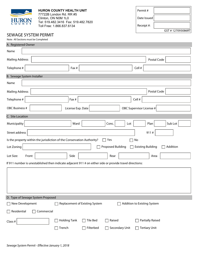| N<br>$\Omega$<br>U                                                                                       | T Y                                                                 | <b>HURON COUNTY HEALTH UNIT</b><br>77722B London Rd. RR #5<br>Clinton, ON N0M 1L0<br>Tel: 519.482.3416  Fax: 519.482.7820<br>Toll Free: 1.866.837.6134 |                                | Permit#<br>Date Issued<br>Receipt #: |                             |                  |
|----------------------------------------------------------------------------------------------------------|---------------------------------------------------------------------|--------------------------------------------------------------------------------------------------------------------------------------------------------|--------------------------------|--------------------------------------|-----------------------------|------------------|
|                                                                                                          | <b>SEWAGE SYSTEM PERMIT</b><br>Note: All Sections must be Completed |                                                                                                                                                        |                                |                                      |                             | GST #127093086RT |
| A. Registered Owner                                                                                      |                                                                     |                                                                                                                                                        |                                |                                      |                             |                  |
| Name                                                                                                     |                                                                     |                                                                                                                                                        |                                |                                      |                             |                  |
| <b>Mailing Address</b>                                                                                   |                                                                     |                                                                                                                                                        |                                |                                      |                             | Postal Code      |
| Telephone #                                                                                              |                                                                     | Fax #                                                                                                                                                  |                                |                                      | Cell #                      |                  |
| B. Sewage System Installer                                                                               |                                                                     |                                                                                                                                                        |                                |                                      |                             |                  |
| Name                                                                                                     |                                                                     |                                                                                                                                                        |                                |                                      |                             |                  |
| <b>Mailing Address</b>                                                                                   |                                                                     |                                                                                                                                                        |                                |                                      |                             | Postal Code      |
| Telephone #                                                                                              |                                                                     | Fax #                                                                                                                                                  |                                |                                      | Cell #                      |                  |
| OBC Business #                                                                                           |                                                                     | License Exp. Date                                                                                                                                      |                                |                                      | OBC Supervisor License #    |                  |
| C. Site Location                                                                                         |                                                                     |                                                                                                                                                        |                                |                                      |                             |                  |
| Municipality                                                                                             |                                                                     | Ward                                                                                                                                                   |                                | Conc.<br>Lot                         | Plan                        | Sub Lot          |
| Street address                                                                                           |                                                                     |                                                                                                                                                        |                                |                                      | 911#                        |                  |
|                                                                                                          |                                                                     | Is the property within the jurisdiction of the Conservation Authority?                                                                                 |                                | Yes                                  | No                          |                  |
| Lot Zoning                                                                                               |                                                                     |                                                                                                                                                        |                                | <b>Proposed Building</b>             | <b>Existing Building</b>    | Addition         |
| Lot Size:                                                                                                | Front                                                               | Side                                                                                                                                                   |                                | Rear                                 |                             | Area             |
| If 911 number is unestablished then indicate adjacent 911 # on either side or provide travel directions: |                                                                     |                                                                                                                                                        |                                |                                      |                             |                  |
|                                                                                                          |                                                                     |                                                                                                                                                        |                                |                                      |                             |                  |
|                                                                                                          | D. Type of Sewage System Proposed                                   |                                                                                                                                                        |                                |                                      |                             |                  |
| New Development                                                                                          |                                                                     |                                                                                                                                                        | Replacement of Existing System |                                      | Addition to Existing System |                  |
| Residential<br>Commercial                                                                                |                                                                     |                                                                                                                                                        |                                |                                      |                             |                  |
| Class #                                                                                                  |                                                                     | <b>Holding Tank</b>                                                                                                                                    | Tile Bed                       | Raised                               | <b>Partially Raised</b>     |                  |
|                                                                                                          |                                                                     | Trench                                                                                                                                                 | Filterbed                      | Secondary Unit                       | <b>Tertiary Unit</b>        |                  |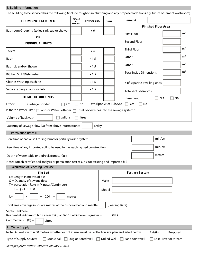## E. Building Information

The building to be serviced has the following (include roughed-in plumbing and any proposed additions e.g. future basement washroom)

| <b>PLUMBING FIXTURES</b>                                                                                                                                                                                                                            | <b>TOTAL#</b><br>OF<br><b>FIXTURES</b> | X FIXTURE UNIT =  | <b>TOTAL</b>          | Permit#                                          |  |  |
|-----------------------------------------------------------------------------------------------------------------------------------------------------------------------------------------------------------------------------------------------------|----------------------------------------|-------------------|-----------------------|--------------------------------------------------|--|--|
| Bathroom Grouping (toilet, sink, tub or shower)                                                                                                                                                                                                     |                                        | x <sub>6</sub>    |                       | <b>Finished Floor Area</b>                       |  |  |
| <b>OR</b>                                                                                                                                                                                                                                           |                                        |                   |                       | m <sup>2</sup><br><b>First Floor</b>             |  |  |
| <b>INDIVIDUAL UNITS</b>                                                                                                                                                                                                                             |                                        |                   |                       | m <sup>2</sup><br>Second Floor                   |  |  |
| <b>Toilets</b>                                                                                                                                                                                                                                      |                                        | x <sub>4</sub>    |                       | m <sup>2</sup><br><b>Third Floor</b>             |  |  |
| Basin                                                                                                                                                                                                                                               |                                        | x 1.5             |                       | m <sup>2</sup><br>Other                          |  |  |
| Bathtub and/or Shower                                                                                                                                                                                                                               |                                        | x 1.5             |                       | m <sup>2</sup><br>Other                          |  |  |
| Kitchen Sink/Dishwasher                                                                                                                                                                                                                             |                                        | x 1.5             |                       | m <sup>2</sup><br><b>Total Inside Dimensions</b> |  |  |
| <b>Clothes Washing Machine</b>                                                                                                                                                                                                                      |                                        | x 1.5             |                       | # of separate dwelling units                     |  |  |
| Separate Single Laundry Tub                                                                                                                                                                                                                         |                                        | x 1.5             |                       | Total # of bedrooms                              |  |  |
| <b>TOTAL FIXTURE UNITS</b>                                                                                                                                                                                                                          |                                        |                   |                       | No<br>$\Box$ Yes<br><b>Basement</b>              |  |  |
| Other:<br>Garbage Grinder<br>Yes                                                                                                                                                                                                                    | No                                     |                   | Whirlpool/Hot Tub/Spa | ∏ Yes<br>No                                      |  |  |
| Is there a Water Filter $\Box$ and/or Water Softener                                                                                                                                                                                                |                                        |                   |                       | that backwashes into the sewage system?          |  |  |
| gallons<br>Volume of backwash:<br>litres                                                                                                                                                                                                            |                                        |                   |                       |                                                  |  |  |
| Quantity of Sewage Flow (Q) from above information =                                                                                                                                                                                                |                                        | L/day             |                       |                                                  |  |  |
| F. Percolation Rates (T)                                                                                                                                                                                                                            |                                        |                   |                       |                                                  |  |  |
| Perc time of native soil for inground or partially raised system                                                                                                                                                                                    |                                        |                   |                       | min/cm                                           |  |  |
| Perc time of any imported soil to be used in the leaching bed construction                                                                                                                                                                          |                                        |                   |                       | min/cm                                           |  |  |
| Depth of water table or bedrock from surface                                                                                                                                                                                                        |                                        |                   |                       | metres                                           |  |  |
| Note: Attach certified soil analysis or percolation test results (for existing and imported fill)                                                                                                                                                   |                                        |                   |                       |                                                  |  |  |
| G. Calculation of Leaching Bed Size                                                                                                                                                                                                                 |                                        |                   |                       |                                                  |  |  |
| <b>Tertiary System</b><br><b>Tile Bed</b><br>$L =$ Length in metres of tile<br>$Q =$ Quantity of sewage flow<br>Make<br>T = percolation Rate in Minutes/Centimetre<br>$L = Q \times T \div 200$<br>Model<br>÷<br>200<br>metres<br>$L =$<br>X<br>$=$ |                                        |                   |                       |                                                  |  |  |
| (Loading Rate)<br>Total area coverage in square metres of the disposal bed and mantle                                                                                                                                                               |                                        |                   |                       |                                                  |  |  |
| Septic Tank Size<br>Residential - Minimum tank size is 2 (Q) or 3600 L whichever is greater =<br>Litres<br>Commercial - $3(Q)$ =<br>Litres                                                                                                          |                                        |                   |                       |                                                  |  |  |
| H. Water Supply                                                                                                                                                                                                                                     |                                        |                   |                       |                                                  |  |  |
| Note: All wells within 30 metres, whether or not in use, must be plotted on site plan and listed below.                                                                                                                                             |                                        |                   |                       | Proposed<br>Existing                             |  |  |
| Type of Supply Source:<br>Municipal                                                                                                                                                                                                                 |                                        | Dug or Bored Well | Drilled Well          | Sandpoint Well<br>Lake, River or Stream          |  |  |
| Sewage System Permit - Effective January 1, 2018                                                                                                                                                                                                    |                                        |                   |                       |                                                  |  |  |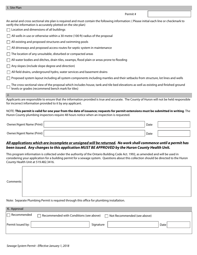#### Permit #

| An aerial and cross sectional site plan is required and must contain the following information: (Please initial each line or checkmark to |
|-------------------------------------------------------------------------------------------------------------------------------------------|
| verify the information is accurately plotted on the site plan)                                                                            |
|                                                                                                                                           |

- $\Box$  Location and dimensions of all buildings
- $\Box$  All wells in use or otherwise within a 30 metre (100 ft) radius of the proposal
- $\Box$  All existing and proposed structures and swimming pools
- $\Box$  All driveways and proposed access routes for septic system in maintenance
- $\Box$  The location of any unsuitable, disturbed or compacted areas
- $\Box$  All water bodies and ditches, drain tiles, swamps, flood plain or areas prone to flooding
- $\Box$  Any slopes (include slope degree and direction)
- All field drains, underground hydro, water services and basement drains
- $\Box$  Proposed system layout including all system components including mantles and their setbacks from structure, lot lines and wells

The cross-sectional view of the proposal which includes house, tank and tile bed elevations as well as existing and finished ground levels or grades (recommend bench mark for tiles)

#### J.

Applicants are responsible to ensure that the information provided is true and accurate. The County of Huron will not be held responsible for incorrect information provided to it by any applicant.

#### NOTE: **This permit is valid for one year from the date of issuance; requests for permit extensions must be submitted in writing**. The Huron County plumbing inspectors require 48 hours notice when an inspection is requested.

| Owner/Agent Name (Print) | Date |  |
|--------------------------|------|--|
| Owner/Agent Name (Print) | Date |  |

### *All applications which are incomplete or unsigned will be returned. No work shall commence until a permit has been issued. Any changes to this application MUST BE APPROVED by the Huron County Health Unit.*

This program information is collected under the authority of the Ontario Building Code Act. 1992, as amended and will be used in considering your application for a building permit for a sewage system. Questions about this collection should be directed to the Huron County Health Unit at 519.482.3416.

**Comments** 

Note: Separate Plumbing Permit is required through this office for plumbing installation.

| K. Approval        |                                         |                             |
|--------------------|-----------------------------------------|-----------------------------|
| $\Box$ Recommended | Recommended with Conditions (see above) | Not Recommended (see above) |
| Permit Issued by:  | Signature                               | Date l                      |